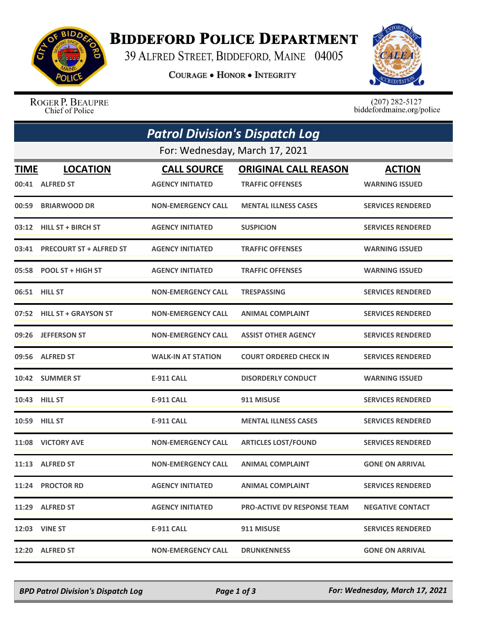

## **BIDDEFORD POLICE DEPARTMENT**

39 ALFRED STREET, BIDDEFORD, MAINE 04005

**COURAGE . HONOR . INTEGRITY** 



ROGER P. BEAUPRE Chief of Police

 $(207)$  282-5127<br>biddefordmaine.org/police

|             | <b>Patrol Division's Dispatch Log</b> |                           |                                    |                          |  |  |  |
|-------------|---------------------------------------|---------------------------|------------------------------------|--------------------------|--|--|--|
|             | For: Wednesday, March 17, 2021        |                           |                                    |                          |  |  |  |
| <b>TIME</b> | <b>LOCATION</b>                       | <b>CALL SOURCE</b>        | <b>ORIGINAL CALL REASON</b>        | <b>ACTION</b>            |  |  |  |
|             | 00:41 ALFRED ST                       | <b>AGENCY INITIATED</b>   | <b>TRAFFIC OFFENSES</b>            | <b>WARNING ISSUED</b>    |  |  |  |
|             | 00:59 BRIARWOOD DR                    | <b>NON-EMERGENCY CALL</b> | <b>MENTAL ILLNESS CASES</b>        | <b>SERVICES RENDERED</b> |  |  |  |
|             | 03:12 HILL ST + BIRCH ST              | <b>AGENCY INITIATED</b>   | <b>SUSPICION</b>                   | <b>SERVICES RENDERED</b> |  |  |  |
|             | 03:41 PRECOURT ST + ALFRED ST         | <b>AGENCY INITIATED</b>   | <b>TRAFFIC OFFENSES</b>            | <b>WARNING ISSUED</b>    |  |  |  |
|             | 05:58 POOL ST + HIGH ST               | <b>AGENCY INITIATED</b>   | <b>TRAFFIC OFFENSES</b>            | <b>WARNING ISSUED</b>    |  |  |  |
|             | 06:51 HILL ST                         | <b>NON-EMERGENCY CALL</b> | <b>TRESPASSING</b>                 | <b>SERVICES RENDERED</b> |  |  |  |
|             | 07:52 HILL ST + GRAYSON ST            | <b>NON-EMERGENCY CALL</b> | <b>ANIMAL COMPLAINT</b>            | <b>SERVICES RENDERED</b> |  |  |  |
|             | 09:26 JEFFERSON ST                    | <b>NON-EMERGENCY CALL</b> | <b>ASSIST OTHER AGENCY</b>         | <b>SERVICES RENDERED</b> |  |  |  |
|             | 09:56 ALFRED ST                       | <b>WALK-IN AT STATION</b> | <b>COURT ORDERED CHECK IN</b>      | <b>SERVICES RENDERED</b> |  |  |  |
|             | 10:42 SUMMER ST                       | <b>E-911 CALL</b>         | <b>DISORDERLY CONDUCT</b>          | <b>WARNING ISSUED</b>    |  |  |  |
|             | 10:43 HILL ST                         | E-911 CALL                | 911 MISUSE                         | <b>SERVICES RENDERED</b> |  |  |  |
|             | 10:59 HILL ST                         | <b>E-911 CALL</b>         | <b>MENTAL ILLNESS CASES</b>        | <b>SERVICES RENDERED</b> |  |  |  |
|             | 11:08 VICTORY AVE                     | <b>NON-EMERGENCY CALL</b> | <b>ARTICLES LOST/FOUND</b>         | <b>SERVICES RENDERED</b> |  |  |  |
|             | 11:13 ALFRED ST                       | <b>NON-EMERGENCY CALL</b> | <b>ANIMAL COMPLAINT</b>            | <b>GONE ON ARRIVAL</b>   |  |  |  |
|             | 11:24 PROCTOR RD                      | <b>AGENCY INITIATED</b>   | <b>ANIMAL COMPLAINT</b>            | <b>SERVICES RENDERED</b> |  |  |  |
|             | 11:29 ALFRED ST                       | <b>AGENCY INITIATED</b>   | <b>PRO-ACTIVE DV RESPONSE TEAM</b> | <b>NEGATIVE CONTACT</b>  |  |  |  |
|             | <b>12:03 VINE ST</b>                  | E-911 CALL                | 911 MISUSE                         | <b>SERVICES RENDERED</b> |  |  |  |
|             | 12:20 ALFRED ST                       | <b>NON-EMERGENCY CALL</b> | <b>DRUNKENNESS</b>                 | <b>GONE ON ARRIVAL</b>   |  |  |  |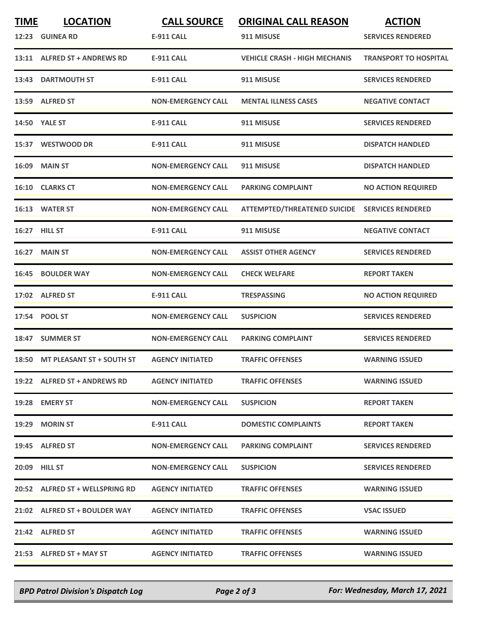| <b>TIME</b> | <b>LOCATION</b><br>12:23 GUINEA RD | <b>CALL SOURCE</b><br><b>E-911 CALL</b> | <b>ORIGINAL CALL REASON</b><br>911 MISUSE | <b>ACTION</b><br><b>SERVICES RENDERED</b> |
|-------------|------------------------------------|-----------------------------------------|-------------------------------------------|-------------------------------------------|
|             | 13:11 ALFRED ST + ANDREWS RD       | <b>E-911 CALL</b>                       | <b>VEHICLE CRASH - HIGH MECHANIS</b>      | <b>TRANSPORT TO HOSPITAL</b>              |
| 13:43       | <b>DARTMOUTH ST</b>                | <b>E-911 CALL</b>                       | 911 MISUSE                                | <b>SERVICES RENDERED</b>                  |
|             | 13:59 ALFRED ST                    | <b>NON-EMERGENCY CALL</b>               | <b>MENTAL ILLNESS CASES</b>               | <b>NEGATIVE CONTACT</b>                   |
|             | <b>14:50 YALE ST</b>               | <b>E-911 CALL</b>                       | 911 MISUSE                                | <b>SERVICES RENDERED</b>                  |
|             | 15:37 WESTWOOD DR                  | <b>E-911 CALL</b>                       | 911 MISUSE                                | <b>DISPATCH HANDLED</b>                   |
| 16:09       | <b>MAIN ST</b>                     | <b>NON-EMERGENCY CALL</b>               | 911 MISUSE                                | <b>DISPATCH HANDLED</b>                   |
|             | 16:10 CLARKS CT                    | <b>NON-EMERGENCY CALL</b>               | <b>PARKING COMPLAINT</b>                  | <b>NO ACTION REQUIRED</b>                 |
|             | 16:13 WATER ST                     | <b>NON-EMERGENCY CALL</b>               | <b>ATTEMPTED/THREATENED SUICIDE</b>       | <b>SERVICES RENDERED</b>                  |
|             | 16:27 HILL ST                      | <b>E-911 CALL</b>                       | 911 MISUSE                                | <b>NEGATIVE CONTACT</b>                   |
| 16:27       | <b>MAIN ST</b>                     | <b>NON-EMERGENCY CALL</b>               | <b>ASSIST OTHER AGENCY</b>                | <b>SERVICES RENDERED</b>                  |
| 16:45       | <b>BOULDER WAY</b>                 | <b>NON-EMERGENCY CALL</b>               | <b>CHECK WELFARE</b>                      | <b>REPORT TAKEN</b>                       |
|             | 17:02 ALFRED ST                    | <b>E-911 CALL</b>                       | <b>TRESPASSING</b>                        | <b>NO ACTION REQUIRED</b>                 |
| 17:54       | <b>POOL ST</b>                     | <b>NON-EMERGENCY CALL</b>               | <b>SUSPICION</b>                          | <b>SERVICES RENDERED</b>                  |
|             | 18:47 SUMMER ST                    | <b>NON-EMERGENCY CALL</b>               | <b>PARKING COMPLAINT</b>                  | <b>SERVICES RENDERED</b>                  |
|             | 18:50 MT PLEASANT ST + SOUTH ST    | <b>AGENCY INITIATED</b>                 | <b>TRAFFIC OFFENSES</b>                   | <b>WARNING ISSUED</b>                     |
|             | 19:22 ALFRED ST + ANDREWS RD       | <b>AGENCY INITIATED</b>                 | <b>TRAFFIC OFFENSES</b>                   | <b>WARNING ISSUED</b>                     |
|             | 19:28 EMERY ST                     | <b>NON-EMERGENCY CALL</b>               | <b>SUSPICION</b>                          | <b>REPORT TAKEN</b>                       |
|             | 19:29 MORIN ST                     | E-911 CALL                              | <b>DOMESTIC COMPLAINTS</b>                | <b>REPORT TAKEN</b>                       |
|             | 19:45 ALFRED ST                    | <b>NON-EMERGENCY CALL</b>               | <b>PARKING COMPLAINT</b>                  | <b>SERVICES RENDERED</b>                  |
|             | 20:09 HILL ST                      | <b>NON-EMERGENCY CALL</b>               | <b>SUSPICION</b>                          | <b>SERVICES RENDERED</b>                  |
|             | 20:52 ALFRED ST + WELLSPRING RD    | <b>AGENCY INITIATED</b>                 | <b>TRAFFIC OFFENSES</b>                   | <b>WARNING ISSUED</b>                     |
|             | 21:02 ALFRED ST + BOULDER WAY      | <b>AGENCY INITIATED</b>                 | <b>TRAFFIC OFFENSES</b>                   | <b>VSAC ISSUED</b>                        |
|             | 21:42 ALFRED ST                    | <b>AGENCY INITIATED</b>                 | <b>TRAFFIC OFFENSES</b>                   | <b>WARNING ISSUED</b>                     |
|             | 21:53 ALFRED ST + MAY ST           | <b>AGENCY INITIATED</b>                 | <b>TRAFFIC OFFENSES</b>                   | <b>WARNING ISSUED</b>                     |

*BPD Patrol Division's Dispatch Log Page 2 of 3 For: Wednesday, March 17, 2021*